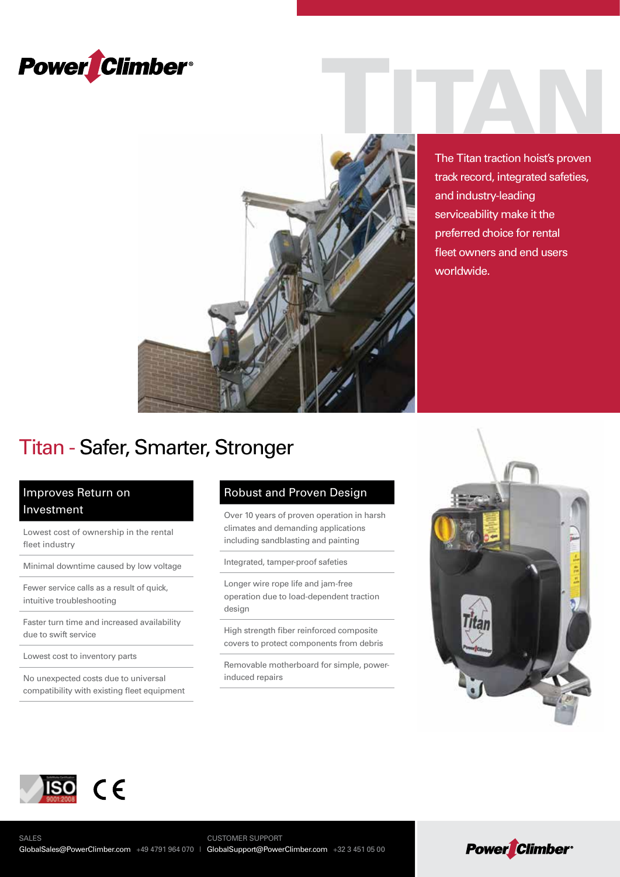



The Titan traction hoist's proven track record, integrated safeties, and industry-leading serviceability make it the preferred choice for rental fleet owners and end users worldwide.

## Titan - Safer, Smarter, Stronger

### Improves Return on Investment

Lowest cost of ownership in the rental fleet industry

Minimal downtime caused by low voltage

Fewer service calls as a result of quick, intuitive troubleshooting

Faster turn time and increased availability due to swift service

Lowest cost to inventory parts

No unexpected costs due to universal compatibility with existing fleet equipment

### Robust and Proven Design

Over 10 years of proven operation in harsh climates and demanding applications including sandblasting and painting

Integrated, tamper-proof safeties

Longer wire rope life and jam-free operation due to load-dependent traction design

High strength fiber reinforced composite covers to protect components from debris

Removable motherboard for simple, powerinduced repairs





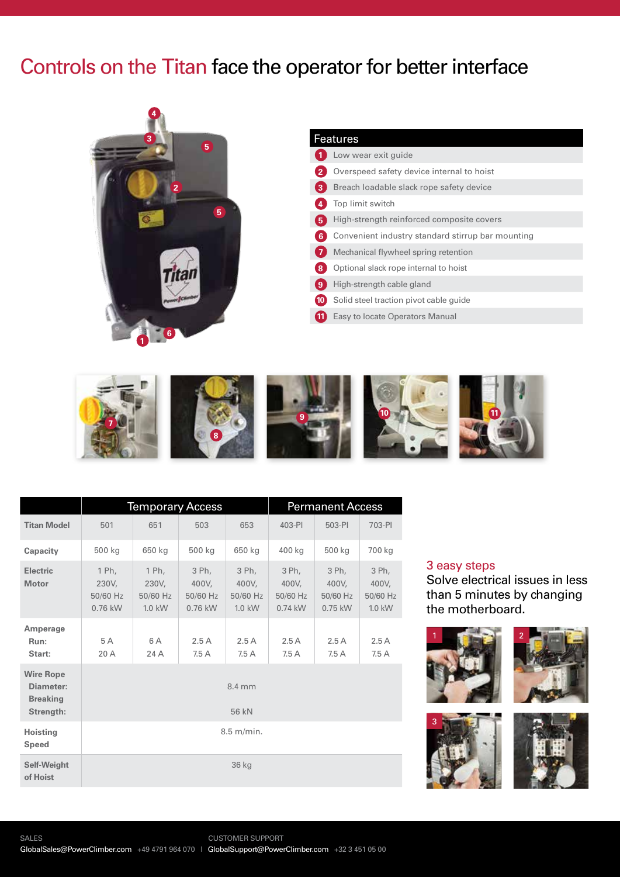## Controls on the Titan face the operator for better interface



#### Features

|              | Low wear exit guide                               |
|--------------|---------------------------------------------------|
| $\mathbf{2}$ | Overspeed safety device internal to hoist         |
| 3            | Breach loadable slack rope safety device          |
| 4            | Top limit switch                                  |
| 5            | High-strength reinforced composite covers         |
| -6           | Convenient industry standard stirrup bar mounting |
|              | Mechanical flywheel spring retention              |
| 8            | Optional slack rope internal to hoist             |
| ( 9          | High-strength cable gland                         |
| (10)         | Solid steel traction pivot cable guide            |
| (11          | Easy to locate Operators Manual                   |



|                                                               | <b>Temporary Access</b>                 |                                        |                                         |                                        | <b>Permanent Access</b>                 |                                         |                                        |
|---------------------------------------------------------------|-----------------------------------------|----------------------------------------|-----------------------------------------|----------------------------------------|-----------------------------------------|-----------------------------------------|----------------------------------------|
| <b>Titan Model</b>                                            | 501                                     | 651                                    | 503                                     | 653                                    | 403-PI                                  | 503-PI                                  | 703-PI                                 |
| Capacity                                                      | 500 kg                                  | 650 kg                                 | 500 kg                                  | 650 kg                                 | 400 kg                                  | 500 kg                                  | 700 kg                                 |
| <b>Electric</b><br><b>Motor</b>                               | 1 Ph,<br>230V,<br>50/60 Hz<br>$0.76$ kW | 1 Ph,<br>230V,<br>50/60 Hz<br>$1.0$ kW | 3 Ph,<br>400V.<br>50/60 Hz<br>$0.76$ kW | 3 Ph,<br>400V,<br>50/60 Hz<br>$1.0$ kW | 3 Ph,<br>400V.<br>50/60 Hz<br>$0.74$ kW | 3 Ph,<br>400V,<br>50/60 Hz<br>$0.75$ kW | 3 Ph,<br>400V,<br>50/60 Hz<br>$1.0$ kW |
| Amperage<br>Run:<br>Start:                                    | 5 A<br>20 A                             | 6 A<br>24 A                            | 2.5A<br>7.5A                            | 2.5A<br>7.5A                           | 2.5A<br>7.5A                            | 2.5A<br>7.5A                            | 2.5A<br>7.5A                           |
| <b>Wire Rope</b><br>Diameter:<br><b>Breaking</b><br>Strength: | 8.4 mm<br>56 kN                         |                                        |                                         |                                        |                                         |                                         |                                        |
| <b>Hoisting</b><br>Speed                                      | $8.5$ m/min.                            |                                        |                                         |                                        |                                         |                                         |                                        |
| <b>Self-Weight</b><br>of Hoist                                | 36 kg                                   |                                        |                                         |                                        |                                         |                                         |                                        |

#### 3 easy steps

Solve electrical issues in less than 5 minutes by changing the motherboard.





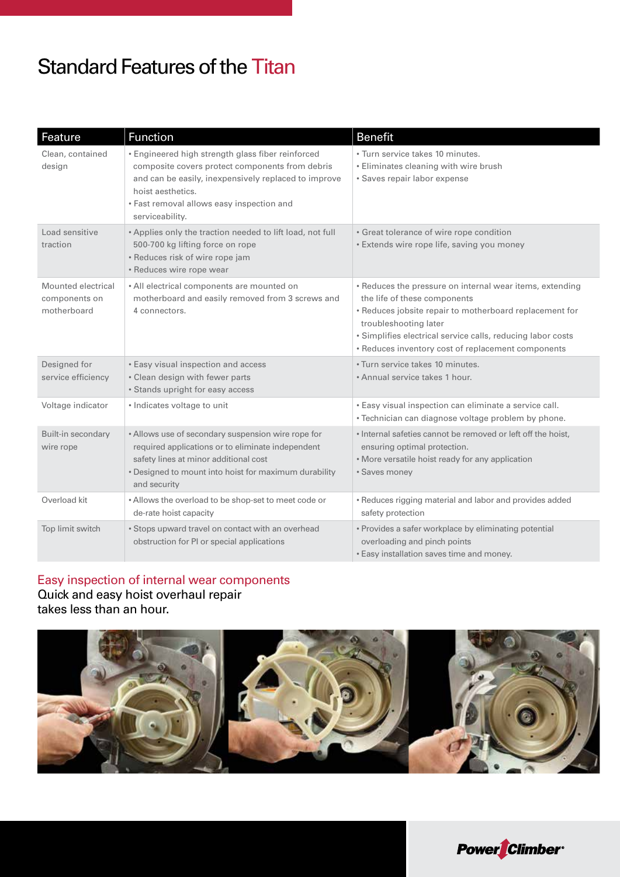## Standard Features of the Titan

| Feature                                            | <b>Function</b>                                                                                                                                                                                                                                   | <b>Benefit</b>                                                                                                                                                                                                                                                                                    |
|----------------------------------------------------|---------------------------------------------------------------------------------------------------------------------------------------------------------------------------------------------------------------------------------------------------|---------------------------------------------------------------------------------------------------------------------------------------------------------------------------------------------------------------------------------------------------------------------------------------------------|
| Clean, contained<br>design                         | • Engineered high strength glass fiber reinforced<br>composite covers protect components from debris<br>and can be easily, inexpensively replaced to improve<br>hoist aesthetics.<br>· Fast removal allows easy inspection and<br>serviceability. | · Turn service takes 10 minutes.<br>• Eliminates cleaning with wire brush<br>· Saves repair labor expense                                                                                                                                                                                         |
| Load sensitive<br>traction                         | . Applies only the traction needed to lift load, not full<br>500-700 kg lifting force on rope<br>• Reduces risk of wire rope jam<br>• Reduces wire rope wear                                                                                      | • Great tolerance of wire rope condition<br>• Extends wire rope life, saving you money                                                                                                                                                                                                            |
| Mounted electrical<br>components on<br>motherboard | • All electrical components are mounted on<br>motherboard and easily removed from 3 screws and<br>4 connectors.                                                                                                                                   | • Reduces the pressure on internal wear items, extending<br>the life of these components<br>• Reduces jobsite repair to motherboard replacement for<br>troubleshooting later<br>· Simplifies electrical service calls, reducing labor costs<br>• Reduces inventory cost of replacement components |
| Designed for<br>service efficiency                 | • Easy visual inspection and access<br>• Clean design with fewer parts<br>• Stands upright for easy access                                                                                                                                        | · Turn service takes 10 minutes.<br>• Annual service takes 1 hour.                                                                                                                                                                                                                                |
| Voltage indicator                                  | • Indicates voltage to unit                                                                                                                                                                                                                       | . Easy visual inspection can eliminate a service call.<br>· Technician can diagnose voltage problem by phone.                                                                                                                                                                                     |
| Built-in secondary<br>wire rope                    | • Allows use of secondary suspension wire rope for<br>required applications or to eliminate independent<br>safety lines at minor additional cost<br>• Designed to mount into hoist for maximum durability<br>and security                         | • Internal safeties cannot be removed or left off the hoist,<br>ensuring optimal protection.<br>• More versatile hoist ready for any application<br>• Saves money                                                                                                                                 |
| Overload kit                                       | • Allows the overload to be shop-set to meet code or<br>de-rate hoist capacity                                                                                                                                                                    | • Reduces rigging material and labor and provides added<br>safety protection                                                                                                                                                                                                                      |
| Top limit switch                                   | • Stops upward travel on contact with an overhead<br>obstruction for PI or special applications                                                                                                                                                   | • Provides a safer workplace by eliminating potential<br>overloading and pinch points<br>· Easy installation saves time and money.                                                                                                                                                                |

### Easy inspection of internal wear components **Quick and easy hoist overhaul repair** takes less than an hour.